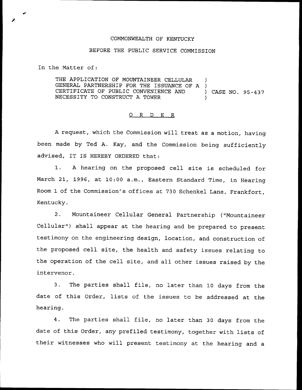## COMMONWEALTH OF KENTUCKY

## BEFORE THE PUBLIC SERVICE COMMISSION

In the Matter of:

THE APPLICATION OF MOUNTAINEER CELLULAR )<br>GENERAL PARTNERSHIP FOR THE ISSUANCE OF A ) GENERAL PARTNERSHIP FOR THE ISSUANCE OF A )<br>CERTIFICATE OF PUBLIC CONVENIENCE AND CERTIFICATE OF PUBLIC CONVENIENCE AND ) CASE NO. 95-437 NECESSITY TO CONSTRUCT A TOWER

## ORDER

<sup>A</sup> request, which the Commission will treat as a motion, having been made by Ted A. Kay, and the Commission being sufficiently advised, IT IS HEREBY ORDERED that:

1. <sup>A</sup> hearing on the proposed cell site is scheduled for March 21, 1996, at 10:00 a.m., Eastern Standard Time, in Hearing Room 1 of the Commission's offices at 730 Schenkel Lane, Frankfort, Kentucky.

2. Mountaineer Cellular General Partnership ("Mountaineer Cellular") shall appear at the hearing and be prepared to present testimony on the engineering design, location, and construction of the proposed cell site, the health and safety issues relating to the operation of the cell site, and all other issues raised by the intervenor.

3. The parties shall file, no later than <sup>10</sup> days from the date of this Order, lists of the issues to be addressed at the hearing.

4. The parties shall file, no later than <sup>30</sup> days from the date of this Order, any prefiled testimony, together with lists of their witnesses who will present testimony at the hearing and <sup>a</sup>